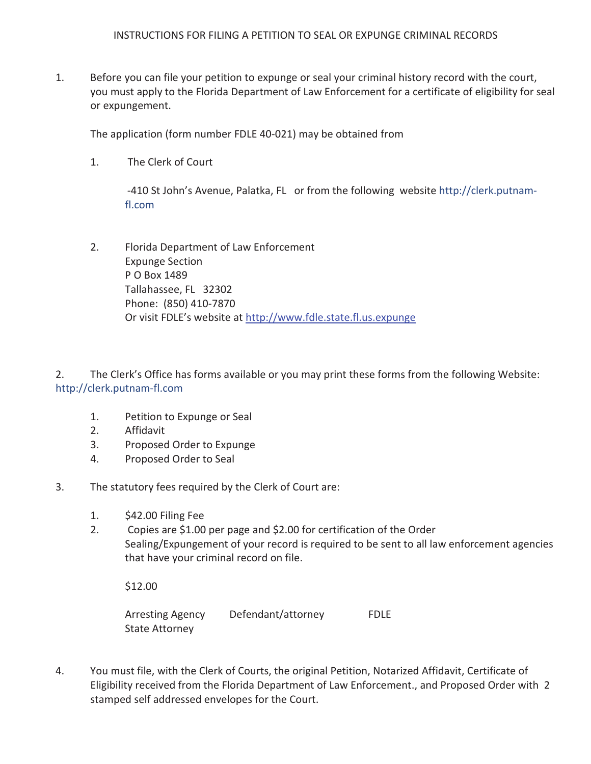$1.$ Before you can file your petition to expunge or seal your criminal history record with the court, you must apply to the Florida Department of Law Enforcement for a certificate of eligibility for seal or expungement.

The application (form number FDLE 40-021) may be obtained from

 $1<sup>1</sup>$ The Clerk of Court

> -410 St John's Avenue, Palatka, FL or from the following website http://clerk.putnamfl.com

Florida Department of Law Enforcement  $2.$ **Expunge Section** P O Box 1489 Tallahassee, FL 32302 Phone: (850) 410-7870 Or visit FDLE's website at http://www.fdle.state.fl.us.expunge

 $2.$ The Clerk's Office has forms available or you may print these forms from the following Website: http://clerk.putnam-fl.com

- $1.$ Petition to Expunge or Seal
- $2.$ Affidavit
- $3.$ Proposed Order to Expunge
- 4. Proposed Order to Seal
- 3. The statutory fees required by the Clerk of Court are:
	- $1.$ \$42.00 Filing Fee
	- $2.$ Copies are \$1.00 per page and \$2.00 for certification of the Order Sealing/Expungement of your record is required to be sent to all law enforcement agencies that have your criminal record on file.

\$12.00

**Arresting Agency** Defendant/attorney **FDLE State Attorney** 

 $\overline{4}$ . You must file, with the Clerk of Courts, the original Petition, Notarized Affidavit, Certificate of Eligibility received from the Florida Department of Law Enforcement., and Proposed Order with 2 stamped self addressed envelopes for the Court.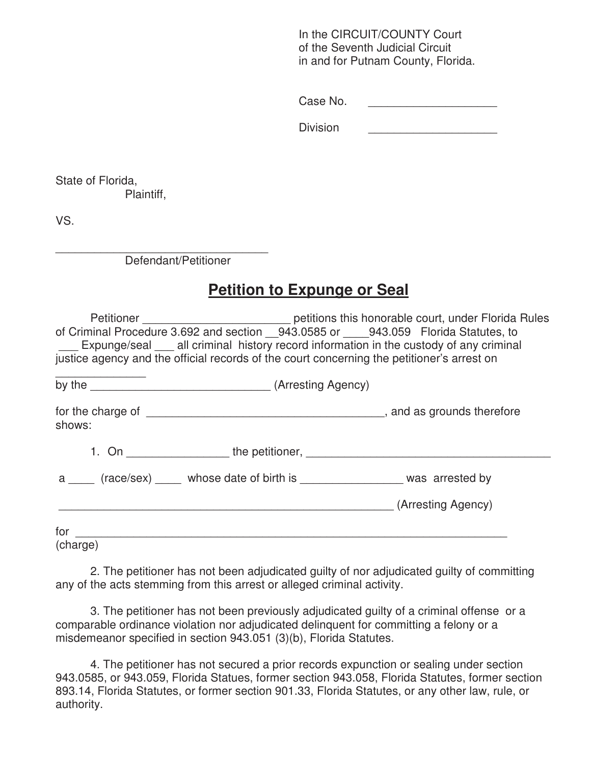In the CIRCUIT/COUNTY Court of the Seventh Judicial Circuit in and for Putnam County, Florida.

Case No.

Division

State of Florida, Plaintiff,

VS.

\_\_\_\_\_\_\_\_\_\_\_\_\_\_\_\_\_\_\_\_\_\_\_\_\_\_\_\_\_\_\_\_\_ Defendant/Petitioner

# **Petition to Expunge or Seal**

|                                                                                                                                                                                                                                | Petitioner _________________________________ petitions this honorable court, under Florida Rules |
|--------------------------------------------------------------------------------------------------------------------------------------------------------------------------------------------------------------------------------|--------------------------------------------------------------------------------------------------|
| of Criminal Procedure 3.692 and section 943.0585 or 943.059 Florida Statutes, to                                                                                                                                               |                                                                                                  |
|                                                                                                                                                                                                                                | Expunge/seal all criminal history record information in the custody of any criminal              |
| justice agency and the official records of the court concerning the petitioner's arrest on                                                                                                                                     |                                                                                                  |
|                                                                                                                                                                                                                                |                                                                                                  |
| shows:                                                                                                                                                                                                                         |                                                                                                  |
|                                                                                                                                                                                                                                |                                                                                                  |
| a (race/sex) whose date of birth is was arrested by                                                                                                                                                                            |                                                                                                  |
|                                                                                                                                                                                                                                | (Arresting Agency)                                                                               |
| for the control of the control of the control of the control of the control of the control of the control of the control of the control of the control of the control of the control of the control of the control of the cont |                                                                                                  |
| (charge)                                                                                                                                                                                                                       |                                                                                                  |

 2. The petitioner has not been adjudicated guilty of nor adjudicated guilty of committing any of the acts stemming from this arrest or alleged criminal activity.

3. The petitioner has not been previously adjudicated guilty of a criminal offense or a comparable ordinance violation nor adjudicated delinquent for committing a felony or a misdemeanor specified in section 943.051 (3)(b), Florida Statutes.

 4. The petitioner has not secured a prior records expunction or sealing under section 943.0585, or 943.059, Florida Statues, former section 943.058, Florida Statutes, former section 893.14, Florida Statutes, or former section 901.33, Florida Statutes, or any other law, rule, or authority.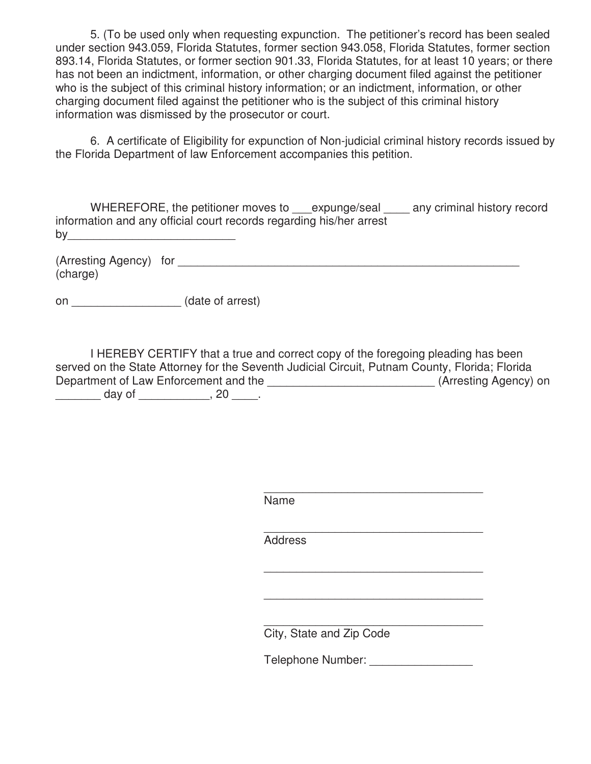5. (To be used only when requesting expunction. The petitioner's record has been sealed under section 943.059, Florida Statutes, former section 943.058, Florida Statutes, former section 893.14, Florida Statutes, or former section 901.33, Florida Statutes, for at least 10 years; or there has not been an indictment, information, or other charging document filed against the petitioner who is the subject of this criminal history information; or an indictment, information, or other charging document filed against the petitioner who is the subject of this criminal history information was dismissed by the prosecutor or court.

 6. A certificate of Eligibility for expunction of Non-judicial criminal history records issued by the Florida Department of law Enforcement accompanies this petition.

| WHEREFORE, the petitioner moves to expunge/seal                     | any criminal history record |
|---------------------------------------------------------------------|-----------------------------|
| information and any official court records regarding his/her arrest |                             |
| by                                                                  |                             |

(Arresting Agency) for  $\blacksquare$ (charge)

on \_\_\_\_\_\_\_\_\_\_\_\_\_\_\_\_\_ (date of arrest)

I HEREBY CERTIFY that a true and correct copy of the foregoing pleading has been served on the State Attorney for the Seventh Judicial Circuit, Putnam County, Florida; Florida Department of Law Enforcement and the \_\_\_\_\_\_\_\_\_\_\_\_\_\_\_\_\_\_\_\_\_\_\_\_\_\_\_\_\_\_(Arresting Agency) on \_\_\_\_\_\_\_\_\_\_ day of \_\_\_\_\_\_\_\_\_\_\_\_\_, 20 \_\_\_\_\_.

 $\overline{\phantom{a}}$  , which is a set of the set of the set of the set of the set of the set of the set of the set of the set of the set of the set of the set of the set of the set of the set of the set of the set of the set of th Name

 $\overline{\phantom{a}}$  , which is a set of the set of the set of the set of the set of the set of the set of the set of the set of the set of the set of the set of the set of the set of the set of the set of the set of the set of th

 $\overline{\phantom{a}}$  , and the contract of the contract of the contract of the contract of the contract of the contract of the contract of the contract of the contract of the contract of the contract of the contract of the contrac

 $\overline{\phantom{a}}$  , and the contract of the contract of the contract of the contract of the contract of the contract of the contract of the contract of the contract of the contract of the contract of the contract of the contrac Address

 $\overline{\phantom{a}}$  , which is a set of the contract of the contract of the contract of the contract of the contract of the contract of the contract of the contract of the contract of the contract of the contract of the contract City, State and Zip Code

Telephone Number: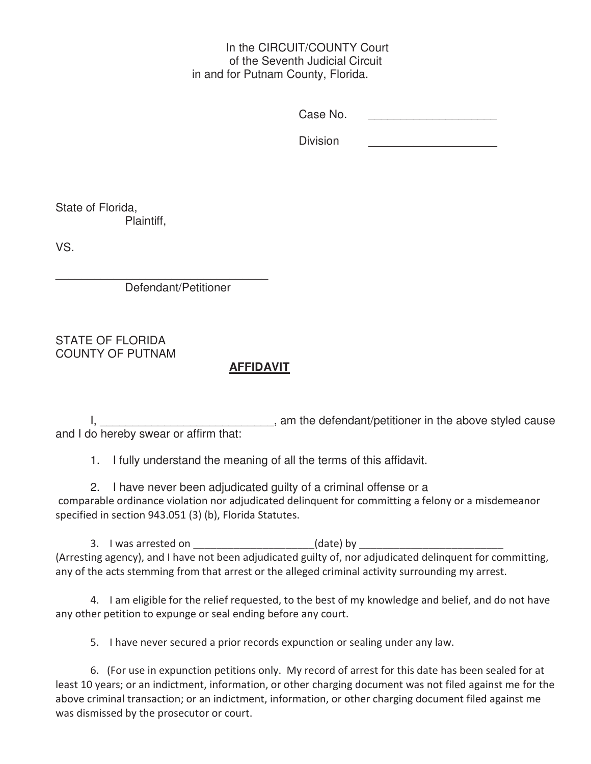#### In the CIRCUIT/COUNTY Court of the Seventh Judicial Circuit in and for Putnam County, Florida.

Case No. \_\_\_\_\_\_\_\_\_\_\_\_\_\_\_\_\_\_\_\_

Division

State of Florida, Plaintiff,

VS.

 $\frac{1}{2}$  ,  $\frac{1}{2}$  ,  $\frac{1}{2}$  ,  $\frac{1}{2}$  ,  $\frac{1}{2}$  ,  $\frac{1}{2}$  ,  $\frac{1}{2}$  ,  $\frac{1}{2}$  ,  $\frac{1}{2}$  ,  $\frac{1}{2}$  ,  $\frac{1}{2}$  ,  $\frac{1}{2}$  ,  $\frac{1}{2}$  ,  $\frac{1}{2}$  ,  $\frac{1}{2}$  ,  $\frac{1}{2}$  ,  $\frac{1}{2}$  ,  $\frac{1}{2}$  ,  $\frac{1$ Defendant/Petitioner

STATE OF FLORIDA COUNTY OF PUTNAM

## **AFFIDAVIT**

I, 1, 2008, 1, 2008, 1, 2008, 1, 2008, 1, 2008, 1, 2008, 1, 2008, 1, 2008, 1, 2008, 1, 2008, 1, 2008, 1, 2008, 1, 2008, 1, 2008, 1, 2008, 1, 2008, 1, 2008, 1, 2008, 1, 2008, 1, 2008, 1, 2008, 1, 2008, 1, 2008, 1, 2008, 1, and I do hereby swear or affirm that:

1. I fully understand the meaning of all the terms of this affidavit.

2. I have never been adjudicated guilty of a criminal offense or a comparable ordinance violation nor adjudicated delinquent for committing a felony or a misdemeanor specified in section 943.051 (3) (b), Florida Statutes.

3. I was arrested on the same of the same (date) by (Arresting agency), and I have not been adjudicated guilty of, nor adjudicated delinquent for committing, any of the acts stemming from that arrest or the alleged criminal activity surrounding my arrest.

4. I am eligible for the relief requested, to the best of my knowledge and belief, and do not have any other petition to expunge or seal ending before any court.

5. I have never secured a prior records expunction or sealing under any law.

6. (For use in expunction petitions only. My record of arrest for this date has been sealed for at least 10 years; or an indictment, information, or other charging document was not filed against me for the above criminal transaction; or an indictment, information, or other charging document filed against me was dismissed by the prosecutor or court.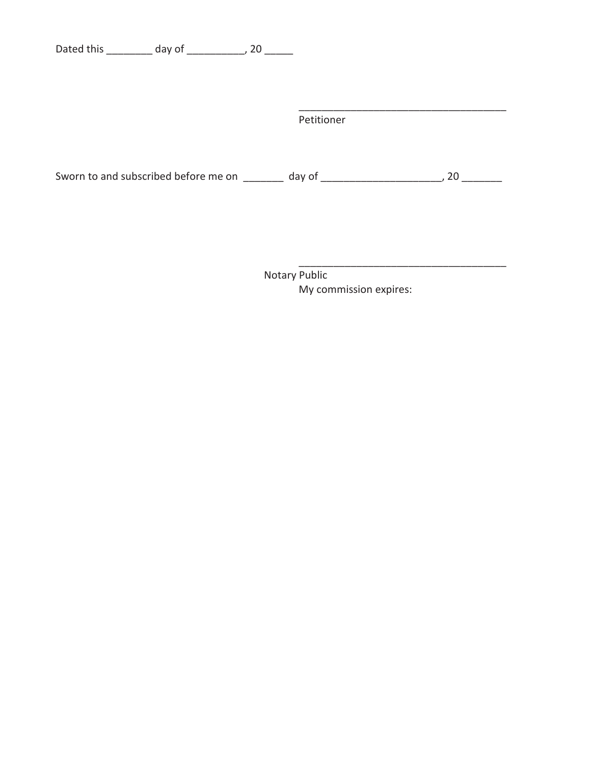Dated this \_\_\_\_\_\_\_\_\_\_ day of \_\_\_\_\_\_\_\_\_\_\_, 20 \_\_\_\_\_\_

| Petitioner |  |
|------------|--|
|            |  |

Notary Public My commission expires: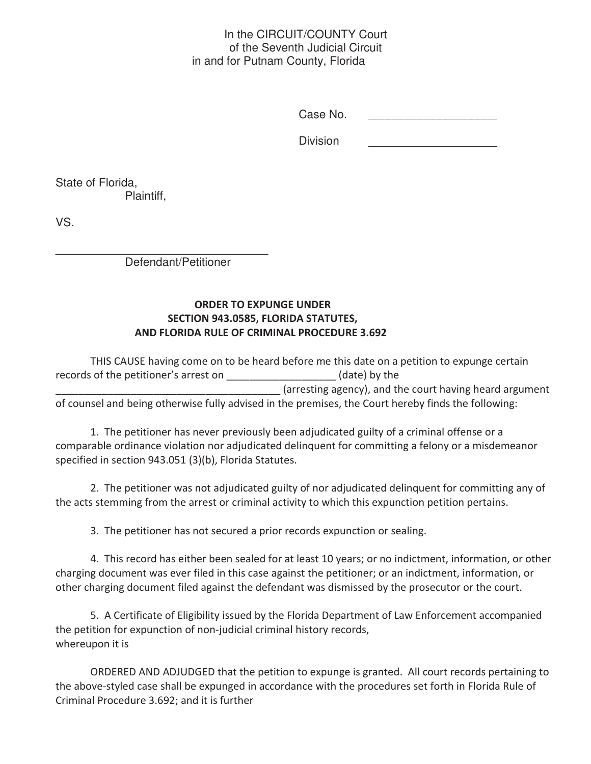#### In the CIRCUIT/COUNTY Court of the Seventh Judicial Circuit in and for Putnam County, Florida

Case No.

Division

State of Florida, Plaintiff,

VS.

 $\frac{1}{2}$  ,  $\frac{1}{2}$  ,  $\frac{1}{2}$  ,  $\frac{1}{2}$  ,  $\frac{1}{2}$  ,  $\frac{1}{2}$  ,  $\frac{1}{2}$  ,  $\frac{1}{2}$  ,  $\frac{1}{2}$  ,  $\frac{1}{2}$  ,  $\frac{1}{2}$  ,  $\frac{1}{2}$  ,  $\frac{1}{2}$  ,  $\frac{1}{2}$  ,  $\frac{1}{2}$  ,  $\frac{1}{2}$  ,  $\frac{1}{2}$  ,  $\frac{1}{2}$  ,  $\frac{1$ Defendant/Petitioner

### ORDER TO EXPUNGE UNDER SECTION 943.0585, FLORIDA STATUTES, AND FLORIDA RULE OF CRIMINAL PROCEDURE 3.692

THIS CAUSE having come on to be heard before me this date on a petition to expunge certain records of the petitioner's arrest on \_\_\_\_\_\_\_\_\_\_\_\_\_\_\_\_\_\_\_\_(date) by the (arresting agency), and the court having heard argument of counsel and being otherwise fully advised in the premises, the Court hereby finds the following:

1. The petitioner has never previously been adjudicated guilty of a criminal offense or a comparable ordinance violation nor adjudicated delinquent for committing a felony or a misdemeanor specified in section 943.051 (3)(b), Florida Statutes.

2. The petitioner was not adjudicated guilty of nor adjudicated delinquent for committing any of the acts stemming from the arrest or criminal activity to which this expunction petition pertains.

3. The petitioner has not secured a prior records expunction or sealing.

4. This record has either been sealed for at least 10 years; or no indictment, information, or other charging document was ever filed in this case against the petitioner; or an indictment, information, or other charging document filed against the defendant was dismissed by the prosecutor or the court.

5. A Certificate of Eligibility issued by the Florida Department of Law Enforcement accompanied the petition for expunction of non-judicial criminal history records, whereupon it is

ORDERED AND ADJUDGED that the petition to expunge is granted. All court records pertaining to the above-styled case shall be expunged in accordance with the procedures set forth in Florida Rule of Criminal Procedure 3.692; and it is further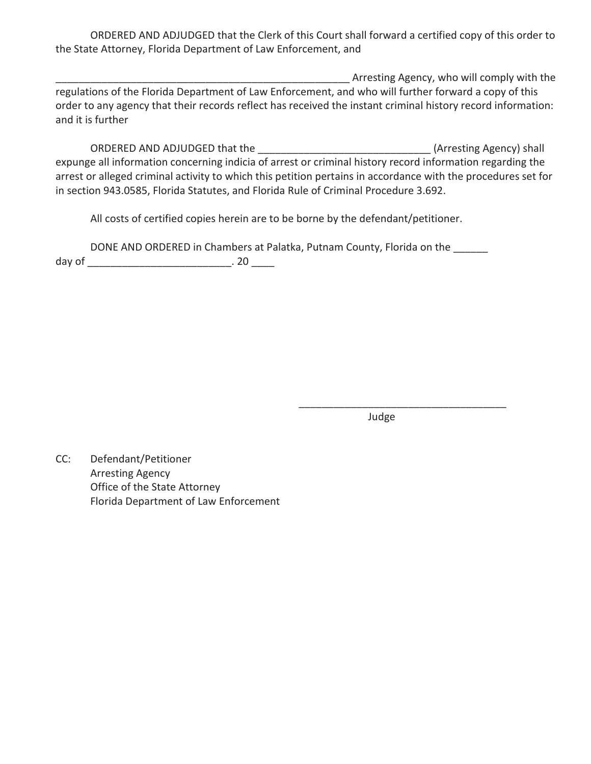ORDERED AND ADJUDGED that the Clerk of this Court shall forward a certified copy of this order to the State Attorney, Florida Department of Law Enforcement, and

*LATER LITE STEEL ARE ARE ARE ARE ARE STEEL ARE STEEL ARE STEEL* regulations of the Florida Department of Law Enforcement, and who will further forward a copy of this order to any agency that their records reflect has received the instant criminal history record information: and it is further

CRDERED AND ADJUDGED that the  $(Arresting Agency)$  shall expunge all information concerning indicia of arrest or criminal history record information regarding the arrest or alleged criminal activity to which this petition pertains in accordance with the procedures set for in section 943.0585, Florida Statutes, and Florida Rule of Criminal Procedure 3.692.

All costs of certified copies herein are to be borne by the defendant/petitioner.

DONE AND ORDERED in Chambers at Palatka, Putnam County, Florida on the \_\_\_\_\_\_ ĚĂLJŽĨͺͺͺͺͺͺͺͺͺͺͺͺͺͺͺͺͺͺͺͺͺͺͺͺͺ͘ϮϬͺͺͺͺ

ͺͺͺͺͺͺͺͺͺͺͺͺͺͺͺͺͺͺͺͺͺͺͺͺͺͺͺͺͺͺͺͺͺͺͺͺ

ida a se de la construcción de la construcción de la construcción de la construcción de la construcción de la c

CC: Defendant/Petitioner Arresting Agency Office of the State Attorney Florida Department of Law Enforcement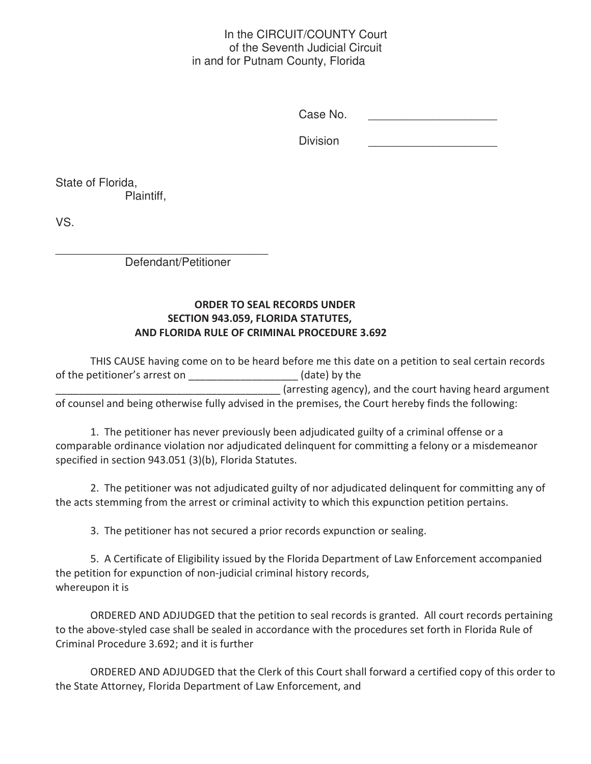#### In the CIRCUIT/COUNTY Court of the Seventh Judicial Circuit in and for Putnam County, Florida

Case No. \_\_\_\_\_\_\_\_\_\_\_\_\_\_\_\_\_\_\_\_

Division

State of Florida, Plaintiff,

VS.

 $\frac{1}{2}$  ,  $\frac{1}{2}$  ,  $\frac{1}{2}$  ,  $\frac{1}{2}$  ,  $\frac{1}{2}$  ,  $\frac{1}{2}$  ,  $\frac{1}{2}$  ,  $\frac{1}{2}$  ,  $\frac{1}{2}$  ,  $\frac{1}{2}$  ,  $\frac{1}{2}$  ,  $\frac{1}{2}$  ,  $\frac{1}{2}$  ,  $\frac{1}{2}$  ,  $\frac{1}{2}$  ,  $\frac{1}{2}$  ,  $\frac{1}{2}$  ,  $\frac{1}{2}$  ,  $\frac{1$ Defendant/Petitioner

#### ORDER TO SEAL RECORDS UNDER SECTION 943.059, FLORIDA STATUTES, AND FLORIDA RULE OF CRIMINAL PROCEDURE 3.692

THIS CAUSE having come on to be heard before me this date on a petition to seal certain records of the petitioner's arrest on \_\_\_\_\_\_\_\_\_\_\_\_\_\_\_\_\_\_\_\_\_(date) by the (arresting agency), and the court having heard argument of counsel and being otherwise fully advised in the premises, the Court hereby finds the following:

1. The petitioner has never previously been adjudicated guilty of a criminal offense or a comparable ordinance violation nor adjudicated delinquent for committing a felony or a misdemeanor specified in section 943.051 (3)(b), Florida Statutes.

2. The petitioner was not adjudicated guilty of nor adjudicated delinquent for committing any of the acts stemming from the arrest or criminal activity to which this expunction petition pertains.

3. The petitioner has not secured a prior records expunction or sealing.

5. A Certificate of Eligibility issued by the Florida Department of Law Enforcement accompanied the petition for expunction of non-judicial criminal history records, whereupon it is

ORDERED AND ADJUDGED that the petition to seal records is granted. All court records pertaining to the above-styled case shall be sealed in accordance with the procedures set forth in Florida Rule of Criminal Procedure 3.692; and it is further

ORDERED AND ADJUDGED that the Clerk of this Court shall forward a certified copy of this order to the State Attorney, Florida Department of Law Enforcement, and